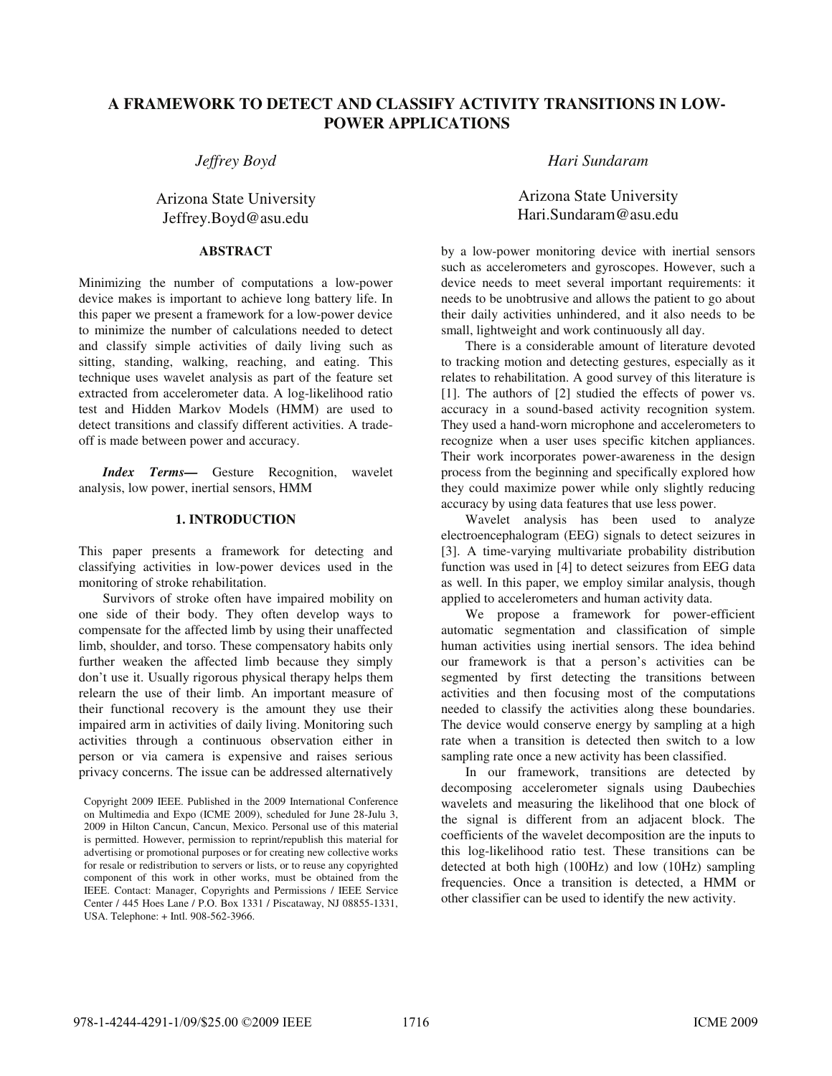# **A FRAMEWORK TO DETECT AND CLASSIFY ACTIVITY TRANSITIONS IN LOW-POWER APPLICATIONS**

*Jeffrey Boyd* 

# Arizona State University Jeffrey.Boyd@asu.edu

## **ABSTRACT**

Minimizing the number of computations a low-power device makes is important to achieve long battery life. In this paper we present a framework for a low-power device to minimize the number of calculations needed to detect and classify simple activities of daily living such as sitting, standing, walking, reaching, and eating. This technique uses wavelet analysis as part of the feature set extracted from accelerometer data. A log-likelihood ratio test and Hidden Markov Models (HMM) are used to detect transitions and classify different activities. A tradeoff is made between power and accuracy.

*Index Terms—* Gesture Recognition, wavelet analysis, low power, inertial sensors, HMM

## **1. INTRODUCTION**

This paper presents a framework for detecting and classifying activities in low-power devices used in the monitoring of stroke rehabilitation.

Survivors of stroke often have impaired mobility on one side of their body. They often develop ways to compensate for the affected limb by using their unaffected limb, shoulder, and torso. These compensatory habits only further weaken the affected limb because they simply don't use it. Usually rigorous physical therapy helps them relearn the use of their limb. An important measure of their functional recovery is the amount they use their impaired arm in activities of daily living. Monitoring such activities through a continuous observation either in person or via camera is expensive and raises serious privacy concerns. The issue can be addressed alternatively *Hari Sundaram* 

Arizona State University Hari.Sundaram@asu.edu

by a low-power monitoring device with inertial sensors such as accelerometers and gyroscopes. However, such a device needs to meet several important requirements: it needs to be unobtrusive and allows the patient to go about their daily activities unhindered, and it also needs to be small, lightweight and work continuously all day.

There is a considerable amount of literature devoted to tracking motion and detecting gestures, especially as it relates to rehabilitation. A good survey of this literature is [1]. The authors of [2] studied the effects of power vs. accuracy in a sound-based activity recognition system. They used a hand-worn microphone and accelerometers to recognize when a user uses specific kitchen appliances. Their work incorporates power-awareness in the design process from the beginning and specifically explored how they could maximize power while only slightly reducing accuracy by using data features that use less power.

Wavelet analysis has been used to analyze electroencephalogram (EEG) signals to detect seizures in [3]. A time-varying multivariate probability distribution function was used in [4] to detect seizures from EEG data as well. In this paper, we employ similar analysis, though applied to accelerometers and human activity data.

We propose a framework for power-efficient automatic segmentation and classification of simple human activities using inertial sensors. The idea behind our framework is that a person's activities can be segmented by first detecting the transitions between activities and then focusing most of the computations needed to classify the activities along these boundaries. The device would conserve energy by sampling at a high rate when a transition is detected then switch to a low sampling rate once a new activity has been classified.

In our framework, transitions are detected by decomposing accelerometer signals using Daubechies wavelets and measuring the likelihood that one block of the signal is different from an adjacent block. The coefficients of the wavelet decomposition are the inputs to this log-likelihood ratio test. These transitions can be detected at both high (100Hz) and low (10Hz) sampling frequencies. Once a transition is detected, a HMM or other classifier can be used to identify the new activity.

Copyright 2009 IEEE. Published in the 2009 International Conference on Multimedia and Expo (ICME 2009), scheduled for June 28-Julu 3, 2009 in Hilton Cancun, Cancun, Mexico. Personal use of this material is permitted. However, permission to reprint/republish this material for advertising or promotional purposes or for creating new collective works for resale or redistribution to servers or lists, or to reuse any copyrighted component of this work in other works, must be obtained from the IEEE. Contact: Manager, Copyrights and Permissions / IEEE Service Center / 445 Hoes Lane / P.O. Box 1331 / Piscataway, NJ 08855-1331, USA. Telephone: + Intl. 908-562-3966.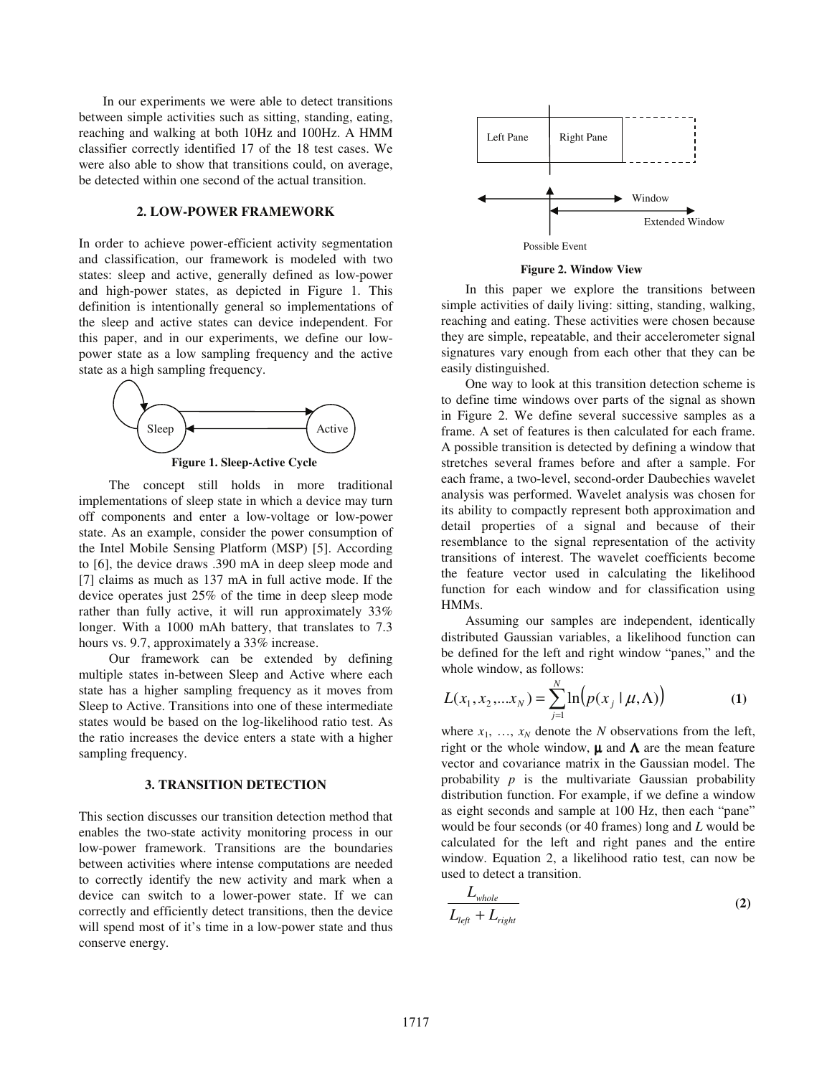In our experiments we were able to detect transitions between simple activities such as sitting, standing, eating, reaching and walking at both 10Hz and 100Hz. A HMM classifier correctly identified 17 of the 18 test cases. We were also able to show that transitions could, on average, be detected within one second of the actual transition.

### **2. LOW-POWER FRAMEWORK**

In order to achieve power-efficient activity segmentation and classification, our framework is modeled with two states: sleep and active, generally defined as low-power and high-power states, as depicted in Figure 1. This definition is intentionally general so implementations of the sleep and active states can device independent. For this paper, and in our experiments, we define our lowpower state as a low sampling frequency and the active state as a high sampling frequency.



The concept still holds in more traditional implementations of sleep state in which a device may turn off components and enter a low-voltage or low-power state. As an example, consider the power consumption of the Intel Mobile Sensing Platform (MSP) [5]. According to [6], the device draws .390 mA in deep sleep mode and [7] claims as much as 137 mA in full active mode. If the device operates just 25% of the time in deep sleep mode rather than fully active, it will run approximately 33% longer. With a 1000 mAh battery, that translates to 7.3 hours vs. 9.7, approximately a 33% increase.

Our framework can be extended by defining multiple states in-between Sleep and Active where each state has a higher sampling frequency as it moves from Sleep to Active. Transitions into one of these intermediate states would be based on the log-likelihood ratio test. As the ratio increases the device enters a state with a higher sampling frequency.

#### **3. TRANSITION DETECTION**

This section discusses our transition detection method that enables the two-state activity monitoring process in our low-power framework. Transitions are the boundaries between activities where intense computations are needed to correctly identify the new activity and mark when a device can switch to a lower-power state. If we can correctly and efficiently detect transitions, then the device will spend most of it's time in a low-power state and thus conserve energy.



**Figure 2. Window View** 

In this paper we explore the transitions between simple activities of daily living: sitting, standing, walking, reaching and eating. These activities were chosen because they are simple, repeatable, and their accelerometer signal signatures vary enough from each other that they can be easily distinguished.

One way to look at this transition detection scheme is to define time windows over parts of the signal as shown in Figure 2. We define several successive samples as a frame. A set of features is then calculated for each frame. A possible transition is detected by defining a window that stretches several frames before and after a sample. For each frame, a two-level, second-order Daubechies wavelet analysis was performed. Wavelet analysis was chosen for its ability to compactly represent both approximation and detail properties of a signal and because of their resemblance to the signal representation of the activity transitions of interest. The wavelet coefficients become the feature vector used in calculating the likelihood function for each window and for classification using HMMs.

Assuming our samples are independent, identically distributed Gaussian variables, a likelihood function can be defined for the left and right window "panes," and the whole window, as follows:

$$
L(x_1, x_2,...x_N) = \sum_{j=1}^{N} \ln(p(x_j \mid \mu, \Lambda))
$$
 (1)

where  $x_1$ , ...,  $x_N$  denote the *N* observations from the left, right or the whole window,  $\mu$  and  $\Lambda$  are the mean feature vector and covariance matrix in the Gaussian model. The probability *p* is the multivariate Gaussian probability distribution function. For example, if we define a window as eight seconds and sample at 100 Hz, then each "pane" would be four seconds (or 40 frames) long and *L* would be calculated for the left and right panes and the entire window. Equation 2, a likelihood ratio test, can now be used to detect a transition.

$$
\frac{L_{whole}}{L_{left} + L_{right}}
$$
 (2)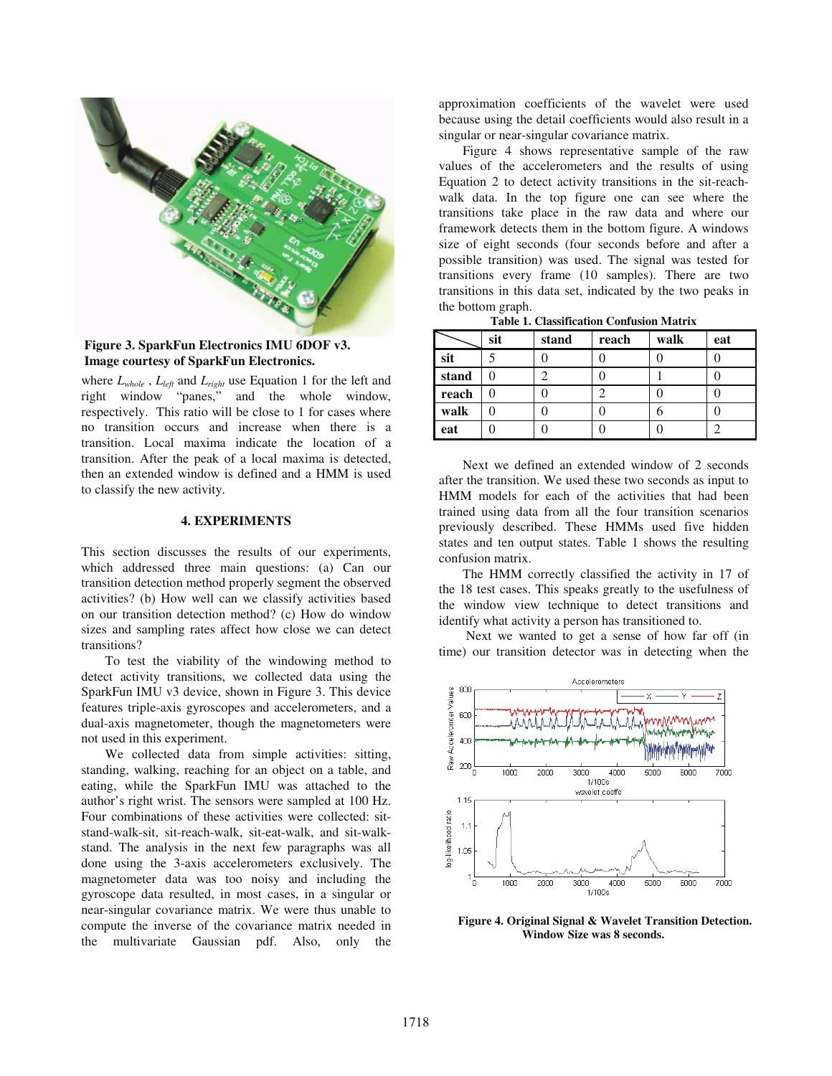

**Figure 3. SparkFun Electronics IMU 6DOF v3. Image courtesy of SparkFun Electronics.** 

where  $L_{whole}$ ,  $L_{left}$  and  $L_{right}$  use Equation 1 for the left and right window "panes," and the whole window, respectively. This ratio will be close to 1 for cases where no transition occurs and increase when there is a transition. Local maxima indicate the location of a transition. After the peak of a local maxima is detected, then an extended window is defined and a HMM is used to classify the new activity.

### **4. EXPERIMENTS**

This section discusses the results of our experiments, which addressed three main questions: (a) Can our transition detection method properly segment the observed activities? (b) How well can we classify activities based on our transition detection method? (c) How do window sizes and sampling rates affect how close we can detect transitions?

To test the viability of the windowing method to detect activity transitions, we collected data using the SparkFun IMU v3 device, shown in Figure 3. This device features triple-axis gyroscopes and accelerometers, and a dual-axis magnetometer, though the magnetometers were not used in this experiment.

We collected data from simple activities: sitting, standing, walking, reaching for an object on a table, and eating, while the SparkFun IMU was attached to the author's right wrist. The sensors were sampled at 100 Hz. Four combinations of these activities were collected: sitstand-walk-sit, sit-reach-walk, sit-eat-walk, and sit-walkstand. The analysis in the next few paragraphs was all done using the 3-axis accelerometers exclusively. The magnetometer data was too noisy and including the gyroscope data resulted, in most cases, in a singular or near-singular covariance matrix. We were thus unable to compute the inverse of the covariance matrix needed in the multivariate Gaussian pdf. Also, only the

approximation coefficients of the wavelet were used because using the detail coefficients would also result in a singular or near-singular covariance matrix.

Figure 4 shows representative sample of the raw values of the accelerometers and the results of using Equation 2 to detect activity transitions in the sit-reachwalk data. In the top figure one can see where the transitions take place in the raw data and where our framework detects them in the bottom figure. A windows size of eight seconds (four seconds before and after a possible transition) was used. The signal was tested for transitions every frame (10 samples). There are two transitions in this data set, indicated by the two peaks in the bottom graph.<br>Table 1.

| Table 1. Classification Confusion Matrix |  |
|------------------------------------------|--|
|------------------------------------------|--|

|       | sit | stand | reach | walk | eat |
|-------|-----|-------|-------|------|-----|
| sit   |     |       |       |      |     |
| stand |     |       |       |      |     |
| reach |     |       |       |      |     |
| walk  |     |       |       |      |     |
| eat   |     |       |       |      |     |

Next we defined an extended window of 2 seconds after the transition. We used these two seconds as input to HMM models for each of the activities that had been trained using data from all the four transition scenarios previously described. These HMMs used five hidden states and ten output states. Table 1 shows the resulting confusion matrix.

The HMM correctly classified the activity in 17 of the 18 test cases. This speaks greatly to the usefulness of the window view technique to detect transitions and identify what activity a person has transitioned to.

 Next we wanted to get a sense of how far off (in time) our transition detector was in detecting when the



**Figure 4. Original Signal & Wavelet Transition Detection. Window Size was 8 seconds.**